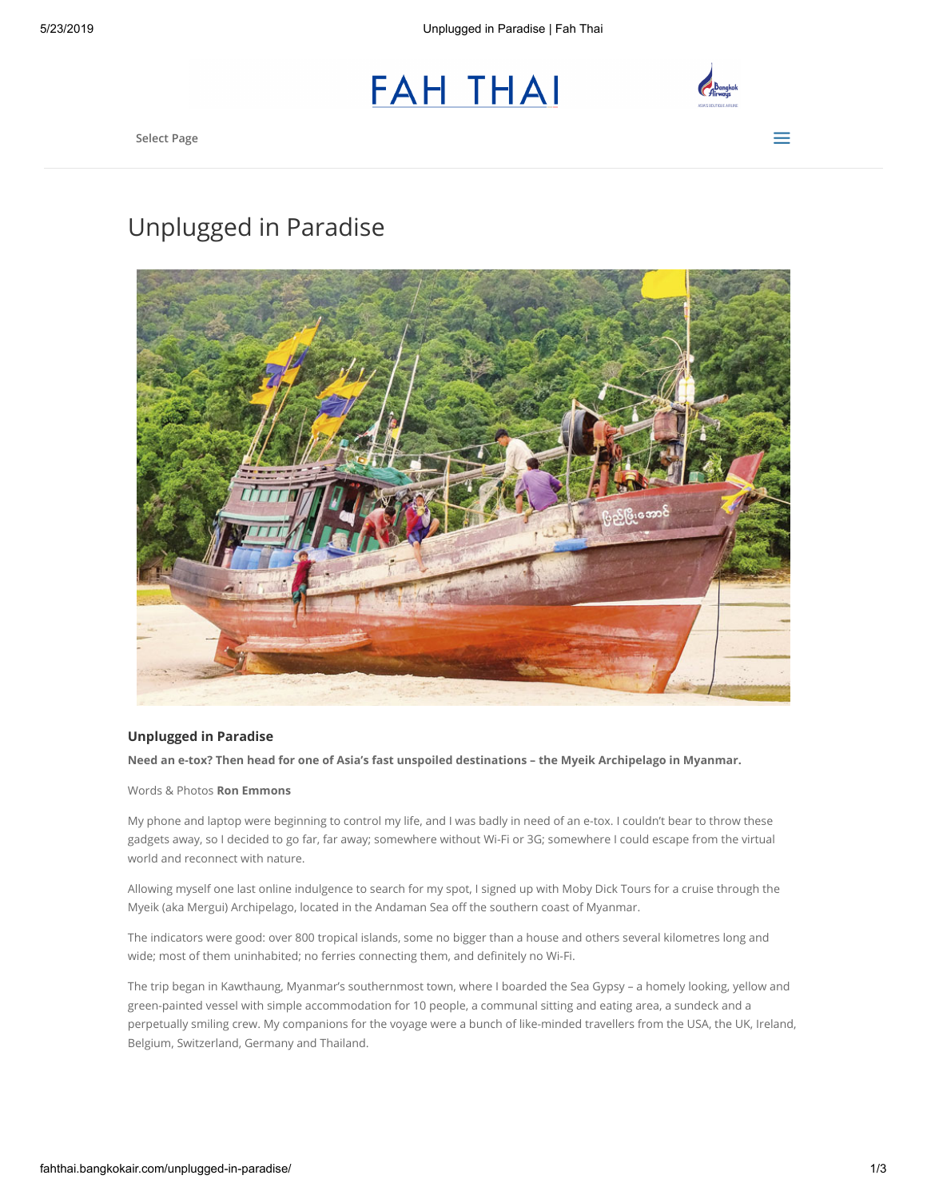



Select Page  $\equiv$ 

## Unplugged in Paradise



## Unplugged in Paradise

Need an e-tox? Then head for one of Asia's fast unspoiled destinations – the Myeik Archipelago in Myanmar.

Words & Photos Ron Emmons

My phone and laptop were beginning to control my life, and I was badly in need of an e-tox. I couldn't bear to throw these gadgets away, so I decided to go far, far away; somewhere without Wi-Fi or 3G; somewhere I could escape from the virtual world and reconnect with nature.

Allowing myself one last online indulgence to search for my spot, I signed up with Moby Dick Tours for a cruise through the Myeik (aka Mergui) Archipelago, located in the Andaman Sea off the southern coast of Myanmar.

The indicators were good: over 800 tropical islands, some no bigger than a house and others several kilometres long and wide; most of them uninhabited; no ferries connecting them, and definitely no Wi-Fi.

The trip began in Kawthaung, Myanmar's southernmost town, where I boarded the Sea Gypsy – a homely looking, yellow and green-painted vessel with simple accommodation for 10 people, a communal sitting and eating area, a sundeck and a perpetually smiling crew. My companions for the voyage were a bunch of like-minded travellers from the USA, the UK, Ireland, Belgium, Switzerland, Germany and Thailand.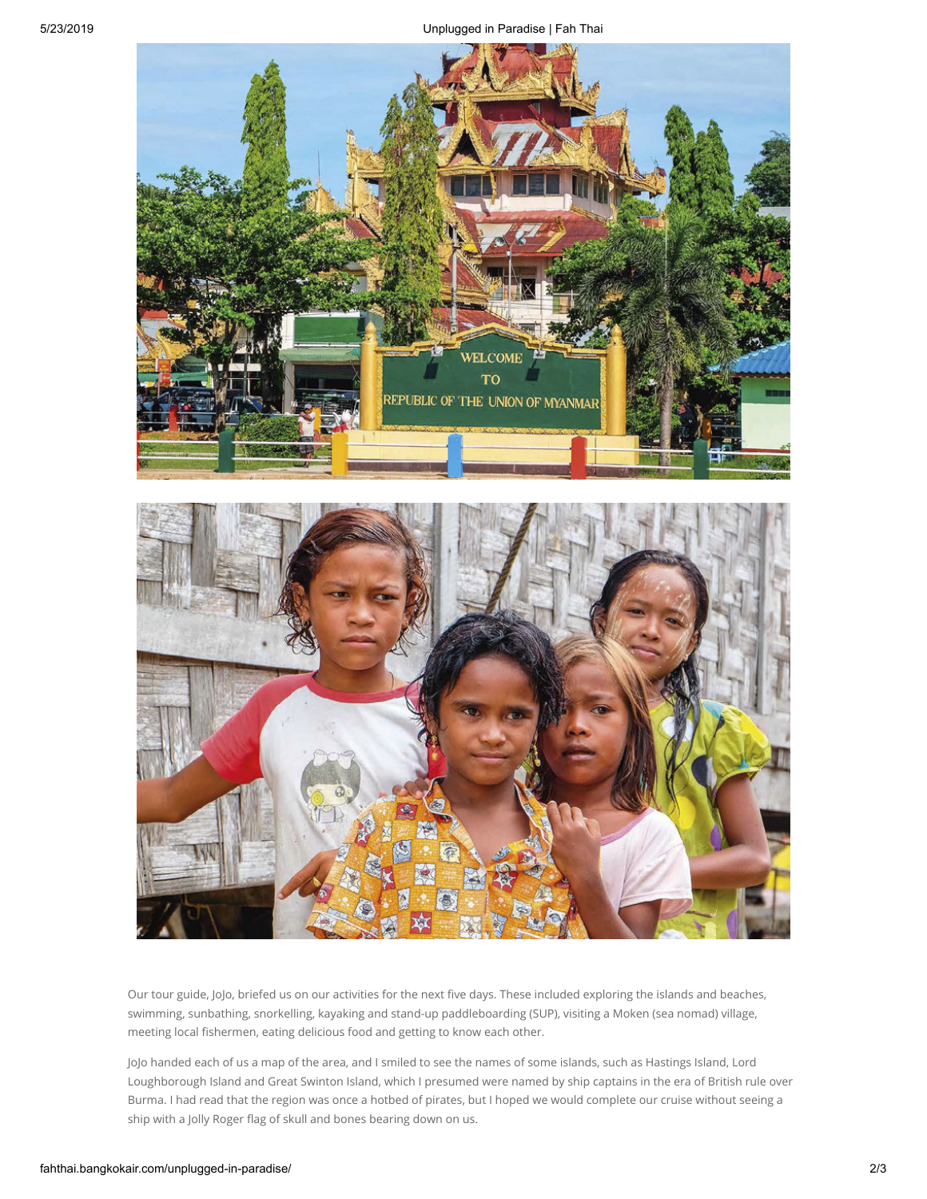

Our tour guide, JoJo, briefed us on our activities for the next five days. These included exploring the islands and beaches, swimming, sunbathing, snorkelling, kayaking and stand-up paddleboarding (SUP), visiting a Moken (sea nomad) village, meeting local fishermen, eating delicious food and getting to know each other.

JoJo handed each of us a map of the area, and I smiled to see the names of some islands, such as Hastings Island, Lord Loughborough Island and Great Swinton Island, which I presumed were named by ship captains in the era of British rule over Burma. I had read that the region was once a hotbed of pirates, but I hoped we would complete our cruise without seeing a ship with a Jolly Roger flag of skull and bones bearing down on us.